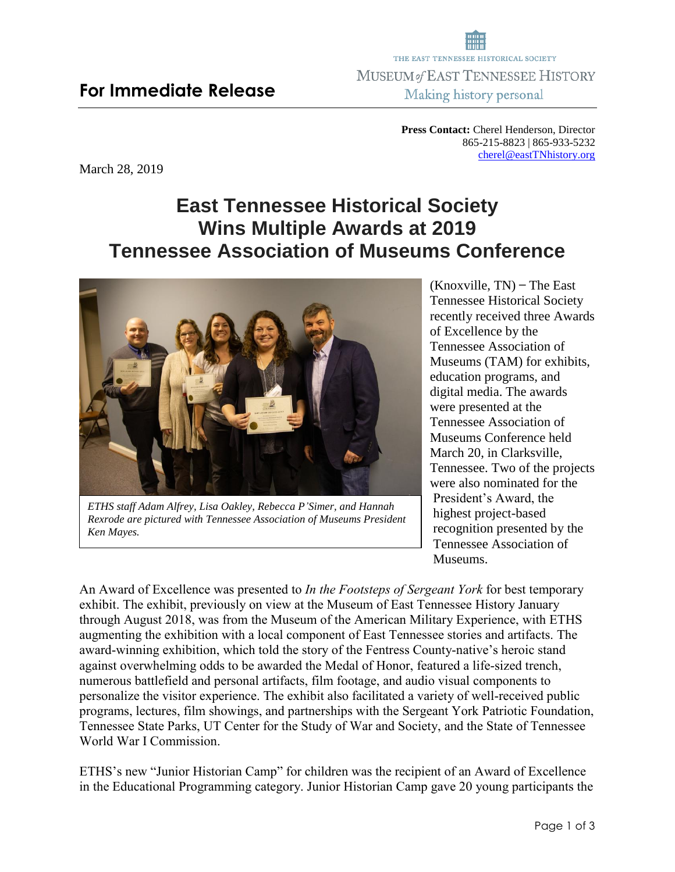## **For Immediate Release**

March 28, 2019

**Press Contact:** Cherel Henderson, Director 865-215-8823 | 865-933-5232 [cherel@eastTNhistory.org](mailto:cherel@eastTNhistory.org)

# **East Tennessee Historical Society Wins Multiple Awards at 2019 Tennessee Association of Museums Conference**



*ETHS staff Adam Alfrey, Lisa Oakley, Rebecca P'Simer, and Hannah Rexrode are pictured with Tennessee Association of Museums President Ken Mayes.* 

 $(Knoxville, TN)$  – The East Tennessee Historical Society recently received three Awards of Excellence by the Tennessee Association of Museums (TAM) for exhibits, education programs, and digital media. The awards were presented at the Tennessee Association of Museums Conference held March 20, in Clarksville, Tennessee. Two of the projects were also nominated for the President's Award, the highest project-based recognition presented by the Tennessee Association of Museums.

An Award of Excellence was presented to *In the Footsteps of Sergeant York* for best temporary exhibit. The exhibit, previously on view at the Museum of East Tennessee History January through August 2018, was from the Museum of the American Military Experience, with ETHS augmenting the exhibition with a local component of East Tennessee stories and artifacts. The award-winning exhibition, which told the story of the Fentress County-native's heroic stand against overwhelming odds to be awarded the Medal of Honor, featured a life-sized trench, numerous battlefield and personal artifacts, film footage, and audio visual components to personalize the visitor experience. The exhibit also facilitated a variety of well-received public programs, lectures, film showings, and partnerships with the Sergeant York Patriotic Foundation, Tennessee State Parks, UT Center for the Study of War and Society, and the State of Tennessee World War I Commission.

ETHS's new "Junior Historian Camp" for children was the recipient of an Award of Excellence in the Educational Programming category. Junior Historian Camp gave 20 young participants the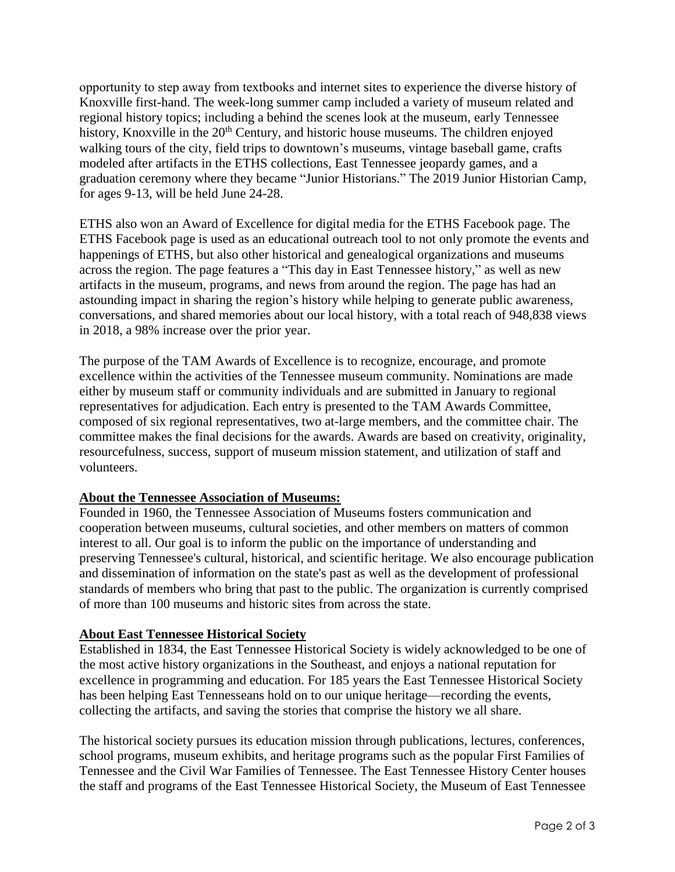opportunity to step away from textbooks and internet sites to experience the diverse history of Knoxville first-hand. The week-long summer camp included a variety of museum related and regional history topics; including a behind the scenes look at the museum, early Tennessee history, Knoxville in the 20<sup>th</sup> Century, and historic house museums. The children enjoyed walking tours of the city, field trips to downtown's museums, vintage baseball game, crafts modeled after artifacts in the ETHS collections, East Tennessee jeopardy games, and a graduation ceremony where they became "Junior Historians." The 2019 Junior Historian Camp, for ages 9-13, will be held June 24-28.

ETHS also won an Award of Excellence for digital media for the ETHS Facebook page. The ETHS Facebook page is used as an educational outreach tool to not only promote the events and happenings of ETHS, but also other historical and genealogical organizations and museums across the region. The page features a "This day in East Tennessee history," as well as new artifacts in the museum, programs, and news from around the region. The page has had an astounding impact in sharing the region's history while helping to generate public awareness, conversations, and shared memories about our local history, with a total reach of 948,838 views in 2018, a 98% increase over the prior year.

The purpose of the TAM Awards of Excellence is to recognize, encourage, and promote excellence within the activities of the Tennessee museum community. Nominations are made either by museum staff or community individuals and are submitted in January to regional representatives for adjudication. Each entry is presented to the TAM Awards Committee, composed of six regional representatives, two at-large members, and the committee chair. The committee makes the final decisions for the awards. Awards are based on creativity, originality, resourcefulness, success, support of museum mission statement, and utilization of staff and volunteers.

#### **About the Tennessee Association of Museums:**

Founded in 1960, the Tennessee Association of Museums fosters communication and cooperation between museums, cultural societies, and other members on matters of common interest to all. Our goal is to inform the public on the importance of understanding and preserving Tennessee's cultural, historical, and scientific heritage. We also encourage publication and dissemination of information on the state's past as well as the development of professional standards of members who bring that past to the public. The organization is currently comprised of more than 100 museums and historic sites from across the state.

#### **About East Tennessee Historical Society**

Established in 1834, the East Tennessee Historical Society is widely acknowledged to be one of the most active history organizations in the Southeast, and enjoys a national reputation for excellence in programming and education. For 185 years the East Tennessee Historical Society has been helping East Tennesseans hold on to our unique heritage—recording the events, collecting the artifacts, and saving the stories that comprise the history we all share.

The historical society pursues its education mission through publications, lectures, conferences, school programs, museum exhibits, and heritage programs such as the popular First Families of Tennessee and the Civil War Families of Tennessee. The East Tennessee History Center houses the staff and programs of the East Tennessee Historical Society, the Museum of East Tennessee